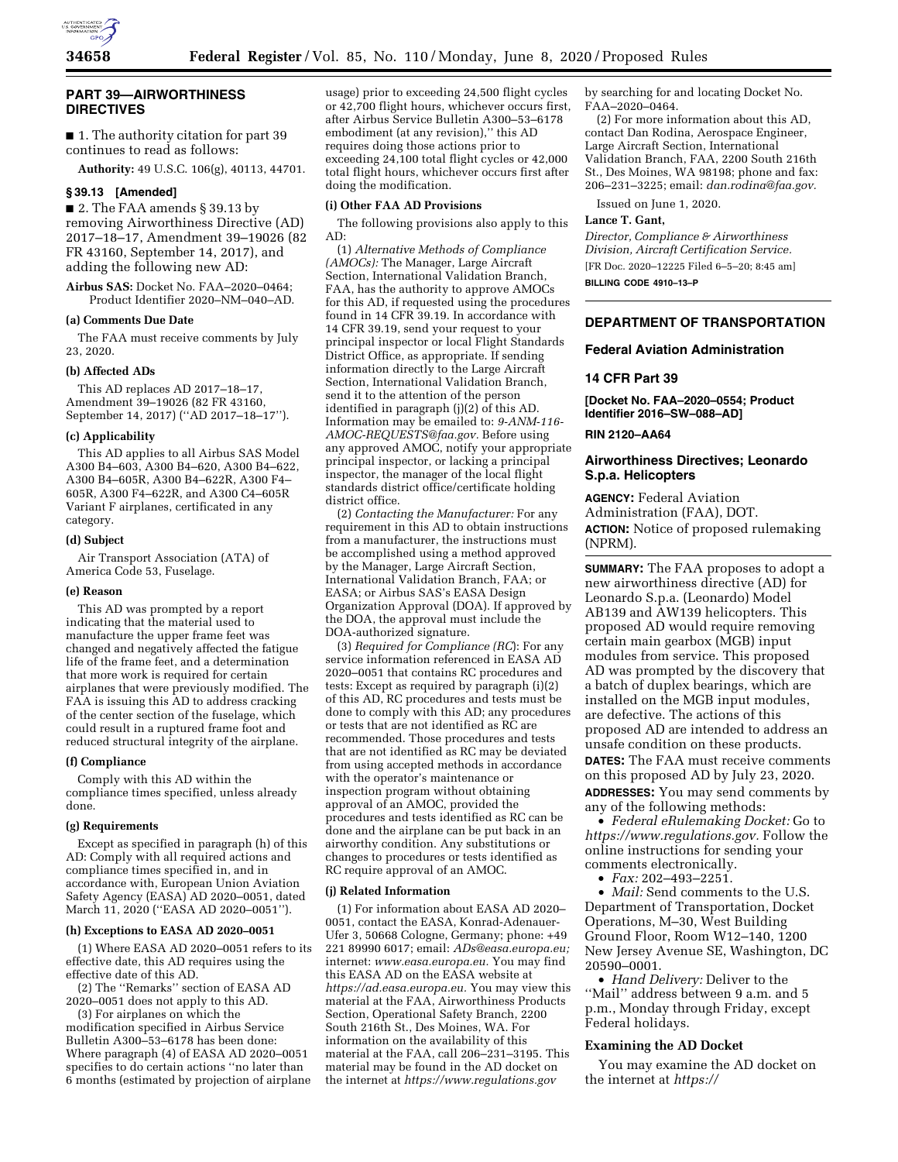

#### **PART 39—AIRWORTHINESS DIRECTIVES**

■ 1. The authority citation for part 39 continues to read as follows:

**Authority:** 49 U.S.C. 106(g), 40113, 44701.

## **§ 39.13 [Amended]**

■ 2. The FAA amends § 39.13 by removing Airworthiness Directive (AD) 2017–18–17, Amendment 39–19026 (82 FR 43160, September 14, 2017), and adding the following new AD:

**Airbus SAS:** Docket No. FAA–2020–0464; Product Identifier 2020–NM–040–AD.

## **(a) Comments Due Date**

The FAA must receive comments by July 23, 2020.

#### **(b) Affected ADs**

This AD replaces AD 2017–18–17, Amendment 39–19026 (82 FR 43160, September 14, 2017) (''AD 2017–18–17'').

#### **(c) Applicability**

This AD applies to all Airbus SAS Model A300 B4–603, A300 B4–620, A300 B4–622, A300 B4–605R, A300 B4–622R, A300 F4– 605R, A300 F4–622R, and A300 C4–605R Variant F airplanes, certificated in any category.

#### **(d) Subject**

Air Transport Association (ATA) of America Code 53, Fuselage.

#### **(e) Reason**

This AD was prompted by a report indicating that the material used to manufacture the upper frame feet was changed and negatively affected the fatigue life of the frame feet, and a determination that more work is required for certain airplanes that were previously modified. The FAA is issuing this AD to address cracking of the center section of the fuselage, which could result in a ruptured frame foot and reduced structural integrity of the airplane.

#### **(f) Compliance**

Comply with this AD within the compliance times specified, unless already done.

#### **(g) Requirements**

Except as specified in paragraph (h) of this AD: Comply with all required actions and compliance times specified in, and in accordance with, European Union Aviation Safety Agency (EASA) AD 2020–0051, dated March 11, 2020 (''EASA AD 2020–0051'').

#### **(h) Exceptions to EASA AD 2020–0051**

(1) Where EASA AD 2020–0051 refers to its effective date, this AD requires using the effective date of this AD.

(2) The ''Remarks'' section of EASA AD 2020–0051 does not apply to this AD.

(3) For airplanes on which the modification specified in Airbus Service Bulletin A300–53–6178 has been done: Where paragraph (4) of EASA AD 2020–0051 specifies to do certain actions ''no later than 6 months (estimated by projection of airplane usage) prior to exceeding 24,500 flight cycles or 42,700 flight hours, whichever occurs first, after Airbus Service Bulletin A300–53–6178 embodiment (at any revision),'' this AD requires doing those actions prior to exceeding 24,100 total flight cycles or 42,000 total flight hours, whichever occurs first after doing the modification.

#### **(i) Other FAA AD Provisions**

The following provisions also apply to this AD:

(1) *Alternative Methods of Compliance (AMOCs):* The Manager, Large Aircraft Section, International Validation Branch, FAA, has the authority to approve AMOCs for this AD, if requested using the procedures found in 14 CFR 39.19. In accordance with 14 CFR 39.19, send your request to your principal inspector or local Flight Standards District Office, as appropriate. If sending information directly to the Large Aircraft Section, International Validation Branch, send it to the attention of the person identified in paragraph (j)(2) of this AD. Information may be emailed to: *[9-ANM-116-](mailto:9-ANM-116-AMOC-REQUESTS@faa.gov) [AMOC-REQUESTS@faa.gov.](mailto:9-ANM-116-AMOC-REQUESTS@faa.gov)* Before using any approved AMOC, notify your appropriate principal inspector, or lacking a principal inspector, the manager of the local flight standards district office/certificate holding district office.

(2) *Contacting the Manufacturer:* For any requirement in this AD to obtain instructions from a manufacturer, the instructions must be accomplished using a method approved by the Manager, Large Aircraft Section, International Validation Branch, FAA; or EASA; or Airbus SAS's EASA Design Organization Approval (DOA). If approved by the DOA, the approval must include the DOA-authorized signature.

(3) *Required for Compliance (RC*): For any service information referenced in EASA AD 2020–0051 that contains RC procedures and tests: Except as required by paragraph (i)(2) of this AD, RC procedures and tests must be done to comply with this AD; any procedures or tests that are not identified as RC are recommended. Those procedures and tests that are not identified as RC may be deviated from using accepted methods in accordance with the operator's maintenance or inspection program without obtaining approval of an AMOC, provided the procedures and tests identified as RC can be done and the airplane can be put back in an airworthy condition. Any substitutions or changes to procedures or tests identified as RC require approval of an AMOC.

#### **(j) Related Information**

(1) For information about EASA AD 2020– 0051, contact the EASA, Konrad-Adenauer-Ufer 3, 50668 Cologne, Germany; phone: +49 221 89990 6017; email: *[ADs@easa.europa.eu;](mailto:ADs@easa.europa.eu)*  internet: *[www.easa.europa.eu.](http://www.easa.europa.eu)* You may find this EASA AD on the EASA website at *[https://ad.easa.europa.eu.](https://ad.easa.europa.eu)* You may view this material at the FAA, Airworthiness Products Section, Operational Safety Branch, 2200 South 216th St., Des Moines, WA. For information on the availability of this material at the FAA, call 206–231–3195. This material may be found in the AD docket on the internet at *<https://www.regulations.gov>* 

by searching for and locating Docket No. FAA–2020–0464.

(2) For more information about this AD, contact Dan Rodina, Aerospace Engineer, Large Aircraft Section, International Validation Branch, FAA, 2200 South 216th St., Des Moines, WA 98198; phone and fax: 206–231–3225; email: *[dan.rodina@faa.gov.](mailto:dan.rodina@faa.gov)* 

Issued on June 1, 2020.

## **Lance T. Gant,**

*Director, Compliance & Airworthiness Division, Aircraft Certification Service.*  [FR Doc. 2020–12225 Filed 6–5–20; 8:45 am]

**BILLING CODE 4910–13–P** 

## **DEPARTMENT OF TRANSPORTATION**

## **Federal Aviation Administration**

#### **14 CFR Part 39**

**[Docket No. FAA–2020–0554; Product Identifier 2016–SW–088–AD]** 

#### **RIN 2120–AA64**

## **Airworthiness Directives; Leonardo S.p.a. Helicopters**

**AGENCY:** Federal Aviation Administration (FAA), DOT. **ACTION:** Notice of proposed rulemaking (NPRM).

**SUMMARY:** The FAA proposes to adopt a new airworthiness directive (AD) for Leonardo S.p.a. (Leonardo) Model AB139 and AW139 helicopters. This proposed AD would require removing certain main gearbox (MGB) input modules from service. This proposed AD was prompted by the discovery that a batch of duplex bearings, which are installed on the MGB input modules, are defective. The actions of this proposed AD are intended to address an unsafe condition on these products.

**DATES:** The FAA must receive comments on this proposed AD by July 23, 2020. **ADDRESSES:** You may send comments by any of the following methods:

• *Federal eRulemaking Docket:* Go to *[https://www.regulations.gov.](https://www.regulations.gov)* Follow the online instructions for sending your comments electronically.

• *Fax:* 202–493–2251.

• *Mail:* Send comments to the U.S. Department of Transportation, Docket Operations, M–30, West Building Ground Floor, Room W12–140, 1200 New Jersey Avenue SE, Washington, DC 20590–0001.

• *Hand Delivery:* Deliver to the ''Mail'' address between 9 a.m. and 5 p.m., Monday through Friday, except Federal holidays.

#### **Examining the AD Docket**

You may examine the AD docket on the internet at *[https://](https://www.regulations.gov)*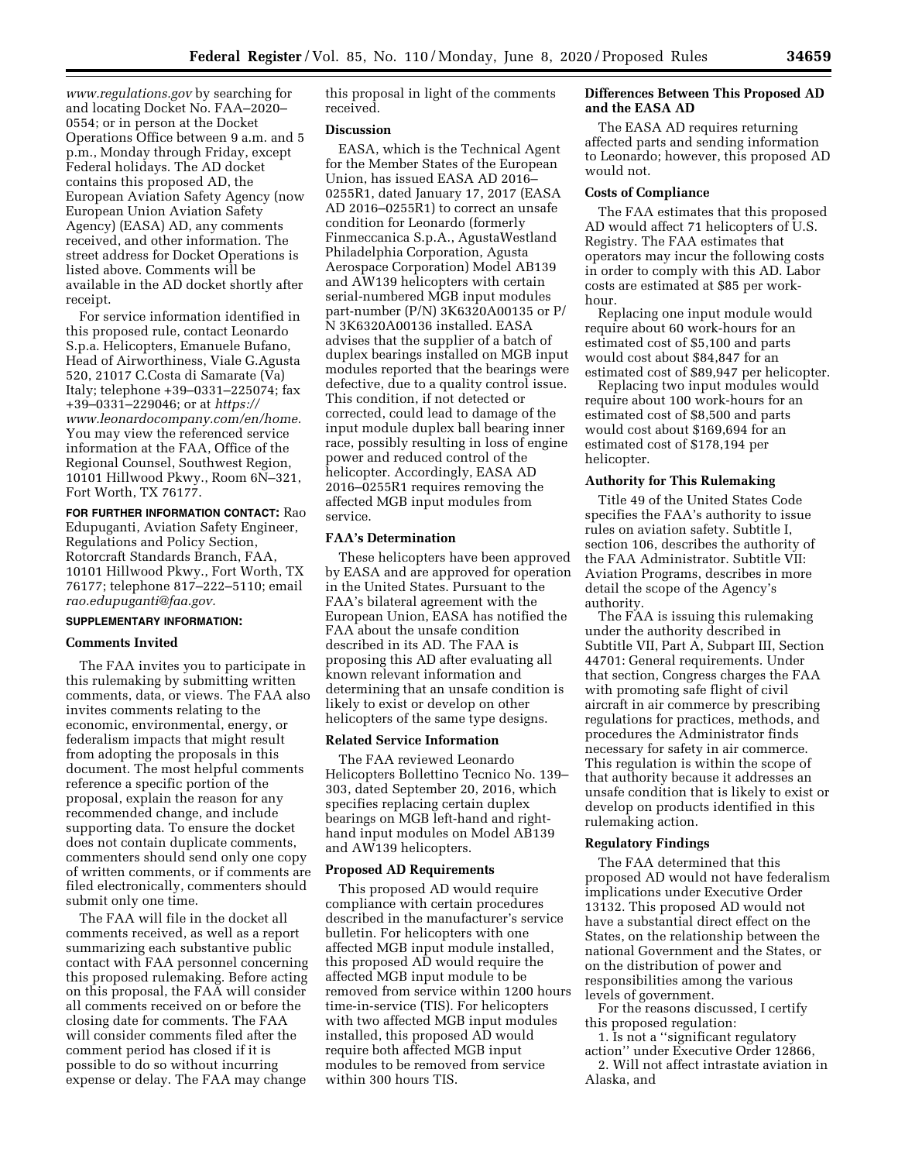*[www.regulations.gov](https://www.regulations.gov)* by searching for and locating Docket No. FAA–2020– 0554; or in person at the Docket Operations Office between 9 a.m. and 5 p.m., Monday through Friday, except Federal holidays. The AD docket contains this proposed AD, the European Aviation Safety Agency (now European Union Aviation Safety Agency) (EASA) AD, any comments received, and other information. The street address for Docket Operations is listed above. Comments will be available in the AD docket shortly after receipt.

For service information identified in this proposed rule, contact Leonardo S.p.a. Helicopters, Emanuele Bufano, Head of Airworthiness, Viale G.Agusta 520, 21017 C.Costa di Samarate (Va) Italy; telephone +39–0331–225074; fax +39–0331–229046; or at *[https://](https://www.leonardocompany.com/en/home) [www.leonardocompany.com/en/home.](https://www.leonardocompany.com/en/home)*  You may view the referenced service information at the FAA, Office of the Regional Counsel, Southwest Region, 10101 Hillwood Pkwy., Room 6N–321, Fort Worth, TX 76177.

**FOR FURTHER INFORMATION CONTACT:** Rao Edupuganti, Aviation Safety Engineer, Regulations and Policy Section, Rotorcraft Standards Branch, FAA, 10101 Hillwood Pkwy., Fort Worth, TX 76177; telephone 817–222–5110; email *[rao.edupuganti@faa.gov.](mailto:rao.edupuganti@faa.gov)* 

## **SUPPLEMENTARY INFORMATION:**

#### **Comments Invited**

The FAA invites you to participate in this rulemaking by submitting written comments, data, or views. The FAA also invites comments relating to the economic, environmental, energy, or federalism impacts that might result from adopting the proposals in this document. The most helpful comments reference a specific portion of the proposal, explain the reason for any recommended change, and include supporting data. To ensure the docket does not contain duplicate comments, commenters should send only one copy of written comments, or if comments are filed electronically, commenters should submit only one time.

The FAA will file in the docket all comments received, as well as a report summarizing each substantive public contact with FAA personnel concerning this proposed rulemaking. Before acting on this proposal, the FAA will consider all comments received on or before the closing date for comments. The FAA will consider comments filed after the comment period has closed if it is possible to do so without incurring expense or delay. The FAA may change

this proposal in light of the comments received.

#### **Discussion**

EASA, which is the Technical Agent for the Member States of the European Union, has issued EASA AD 2016– 0255R1, dated January 17, 2017 (EASA AD 2016–0255R1) to correct an unsafe condition for Leonardo (formerly Finmeccanica S.p.A., AgustaWestland Philadelphia Corporation, Agusta Aerospace Corporation) Model AB139 and AW139 helicopters with certain serial-numbered MGB input modules part-number (P/N) 3K6320A00135 or P/ N 3K6320A00136 installed. EASA advises that the supplier of a batch of duplex bearings installed on MGB input modules reported that the bearings were defective, due to a quality control issue. This condition, if not detected or corrected, could lead to damage of the input module duplex ball bearing inner race, possibly resulting in loss of engine power and reduced control of the helicopter. Accordingly, EASA AD 2016–0255R1 requires removing the affected MGB input modules from service.

## **FAA's Determination**

These helicopters have been approved by EASA and are approved for operation in the United States. Pursuant to the FAA's bilateral agreement with the European Union, EASA has notified the FAA about the unsafe condition described in its AD. The FAA is proposing this AD after evaluating all known relevant information and determining that an unsafe condition is likely to exist or develop on other helicopters of the same type designs.

## **Related Service Information**

The FAA reviewed Leonardo Helicopters Bollettino Tecnico No. 139– 303, dated September 20, 2016, which specifies replacing certain duplex bearings on MGB left-hand and righthand input modules on Model AB139 and AW139 helicopters.

#### **Proposed AD Requirements**

This proposed AD would require compliance with certain procedures described in the manufacturer's service bulletin. For helicopters with one affected MGB input module installed, this proposed AD would require the affected MGB input module to be removed from service within 1200 hours time-in-service (TIS). For helicopters with two affected MGB input modules installed, this proposed AD would require both affected MGB input modules to be removed from service within 300 hours TIS.

#### **Differences Between This Proposed AD and the EASA AD**

The EASA AD requires returning affected parts and sending information to Leonardo; however, this proposed AD would not.

#### **Costs of Compliance**

The FAA estimates that this proposed AD would affect 71 helicopters of U.S. Registry. The FAA estimates that operators may incur the following costs in order to comply with this AD. Labor costs are estimated at \$85 per workhour.

Replacing one input module would require about 60 work-hours for an estimated cost of \$5,100 and parts would cost about \$84,847 for an estimated cost of \$89,947 per helicopter.

Replacing two input modules would require about 100 work-hours for an estimated cost of \$8,500 and parts would cost about \$169,694 for an estimated cost of \$178,194 per helicopter.

## **Authority for This Rulemaking**

Title 49 of the United States Code specifies the FAA's authority to issue rules on aviation safety. Subtitle I, section 106, describes the authority of the FAA Administrator. Subtitle VII: Aviation Programs, describes in more detail the scope of the Agency's authority.

The FAA is issuing this rulemaking under the authority described in Subtitle VII, Part A, Subpart III, Section 44701: General requirements. Under that section, Congress charges the FAA with promoting safe flight of civil aircraft in air commerce by prescribing regulations for practices, methods, and procedures the Administrator finds necessary for safety in air commerce. This regulation is within the scope of that authority because it addresses an unsafe condition that is likely to exist or develop on products identified in this rulemaking action.

## **Regulatory Findings**

The FAA determined that this proposed AD would not have federalism implications under Executive Order 13132. This proposed AD would not have a substantial direct effect on the States, on the relationship between the national Government and the States, or on the distribution of power and responsibilities among the various levels of government.

For the reasons discussed, I certify this proposed regulation:

1. Is not a ''significant regulatory action'' under Executive Order 12866,

2. Will not affect intrastate aviation in Alaska, and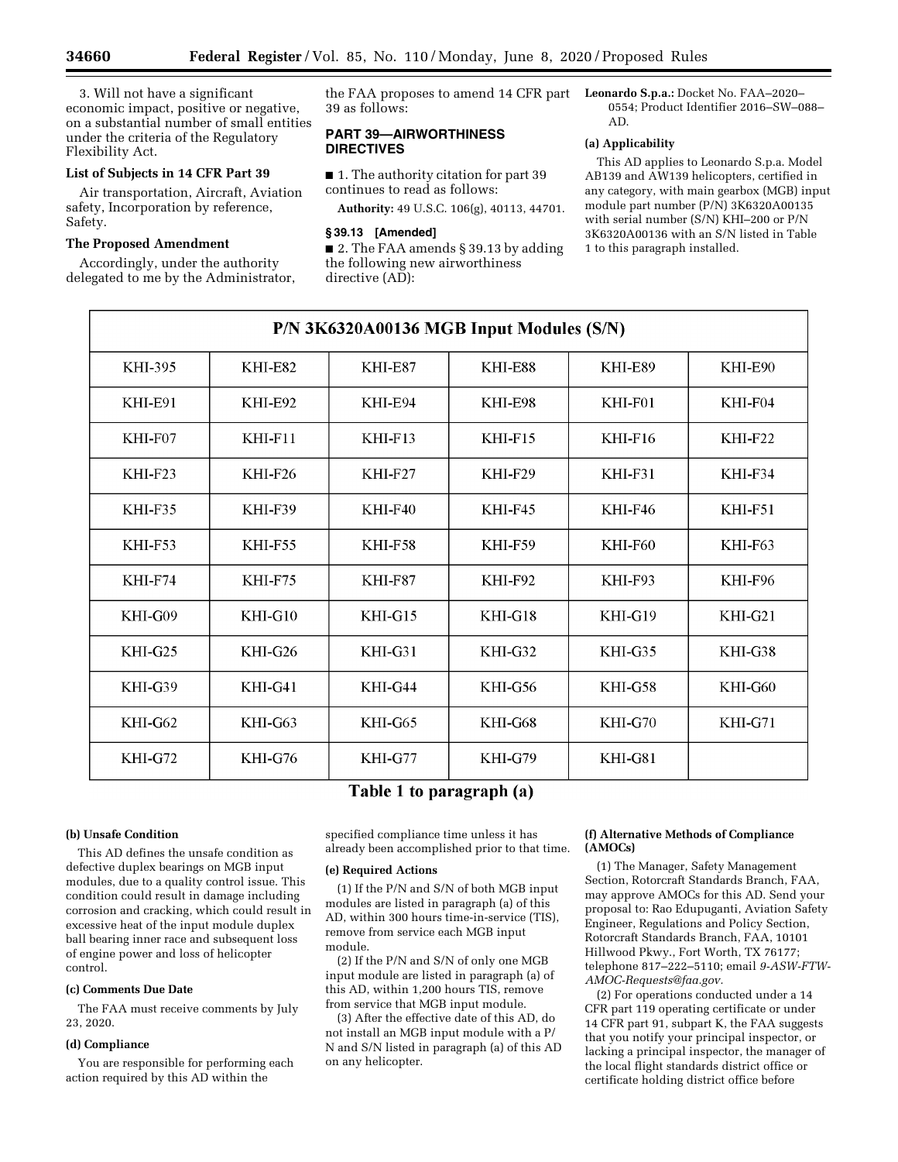3. Will not have a significant economic impact, positive or negative, on a substantial number of small entities under the criteria of the Regulatory Flexibility Act.

## **List of Subjects in 14 CFR Part 39**

Air transportation, Aircraft, Aviation safety, Incorporation by reference, Safety.

#### **The Proposed Amendment**

Accordingly, under the authority delegated to me by the Administrator, the FAA proposes to amend 14 CFR part 39 as follows:

## **PART 39—AIRWORTHINESS DIRECTIVES**

■ 1. The authority citation for part 39 continues to read as follows:

**Authority:** 49 U.S.C. 106(g), 40113, 44701.

#### **§ 39.13 [Amended]**

■ 2. The FAA amends § 39.13 by adding the following new airworthiness directive (AD):

**Leonardo S.p.a.:** Docket No. FAA–2020– 0554; Product Identifier 2016–SW–088– AD.

## **(a) Applicability**

This AD applies to Leonardo S.p.a. Model AB139 and AW139 helicopters, certified in any category, with main gearbox (MGB) input module part number (P/N) 3K6320A00135 with serial number (S/N) KHI–200 or P/N 3K6320A00136 with an S/N listed in Table 1 to this paragraph installed.

| P/N 3K6320A00136 MGB Input Modules (S/N) |                        |                        |                |                        |           |
|------------------------------------------|------------------------|------------------------|----------------|------------------------|-----------|
| KHI-395                                  | KHI-E82                | KHI-E87                | KHI-E88        | KHI-E89                | KHI-E90   |
| KHI-E91                                  | KHI-E92                | KHI-E94                | KHI-E98        | KHI-F01                | KHI-F04   |
| $KHI-F07$                                | $KHI$ -F <sub>11</sub> | $KHI$ -F <sub>13</sub> | $KHI-F15$      | $KHI$ -F <sub>16</sub> | $KHI-F22$ |
| $KHI-F23$                                | $KHI-F26$              | $KHI-F27$              | $KHI-F29$      | $KHI-F31$              | KHI-F34   |
| KHI-F35                                  | <b>KHI-F39</b>         | $KHI$ -F40             | <b>KHI-F45</b> | <b>KHI-F46</b>         | KHI-F51   |
| $KHI-F53$                                | <b>KHI-F55</b>         | KHI-F58                | KHI-F59        | KHI-F60                | KHI-F63   |
| KHI-F74                                  | <b>KHI-F75</b>         | KHI-F87                | KHI-F92        | KHI-F93                | KHI-F96   |
| $KHI-G09$                                | $KHI-G10$              | $KHI-G15$              | $KHI-G18$      | $KHI-G19$              | $KHI-G21$ |
| $KHI-G25$                                | KHI-G26                | KHI-G31                | KHI-G32        | KHI-G35                | KHI-G38   |
| KHI-G39                                  | $KHI-G41$              | $KHI-G44$              | KHI-G56        | KHI-G58                | KHI-G60   |
| $KHI-G62$                                | $KHI-G63$              | $KHI-G65$              | KHI-G68        | $KHI-G70$              | $KHI-G71$ |
| $KHI-G72$                                | $KHI-G76$              | KHI-G77                | KHI-G79        | KHI-G81                |           |

# Table 1 to paragraph (a)

## **(b) Unsafe Condition**

This AD defines the unsafe condition as defective duplex bearings on MGB input modules, due to a quality control issue. This condition could result in damage including corrosion and cracking, which could result in excessive heat of the input module duplex ball bearing inner race and subsequent loss of engine power and loss of helicopter control.

#### **(c) Comments Due Date**

The FAA must receive comments by July 23, 2020.

#### **(d) Compliance**

You are responsible for performing each action required by this AD within the

specified compliance time unless it has already been accomplished prior to that time.

#### **(e) Required Actions**

(1) If the P/N and S/N of both MGB input modules are listed in paragraph (a) of this AD, within 300 hours time-in-service (TIS), remove from service each MGB input module.

(2) If the P/N and S/N of only one MGB input module are listed in paragraph (a) of this AD, within 1,200 hours TIS, remove from service that MGB input module.

(3) After the effective date of this AD, do not install an MGB input module with a P/ N and S/N listed in paragraph (a) of this AD on any helicopter.

#### **(f) Alternative Methods of Compliance (AMOCs)**

(1) The Manager, Safety Management Section, Rotorcraft Standards Branch, FAA, may approve AMOCs for this AD. Send your proposal to: Rao Edupuganti, Aviation Safety Engineer, Regulations and Policy Section, Rotorcraft Standards Branch, FAA, 10101 Hillwood Pkwy., Fort Worth, TX 76177; telephone 817–222–5110; email *[9-ASW-FTW-](mailto:9-ASW-FTW-AMOC-Requests@faa.gov)[AMOC-Requests@faa.gov.](mailto:9-ASW-FTW-AMOC-Requests@faa.gov)* 

(2) For operations conducted under a 14 CFR part 119 operating certificate or under 14 CFR part 91, subpart K, the FAA suggests that you notify your principal inspector, or lacking a principal inspector, the manager of the local flight standards district office or certificate holding district office before